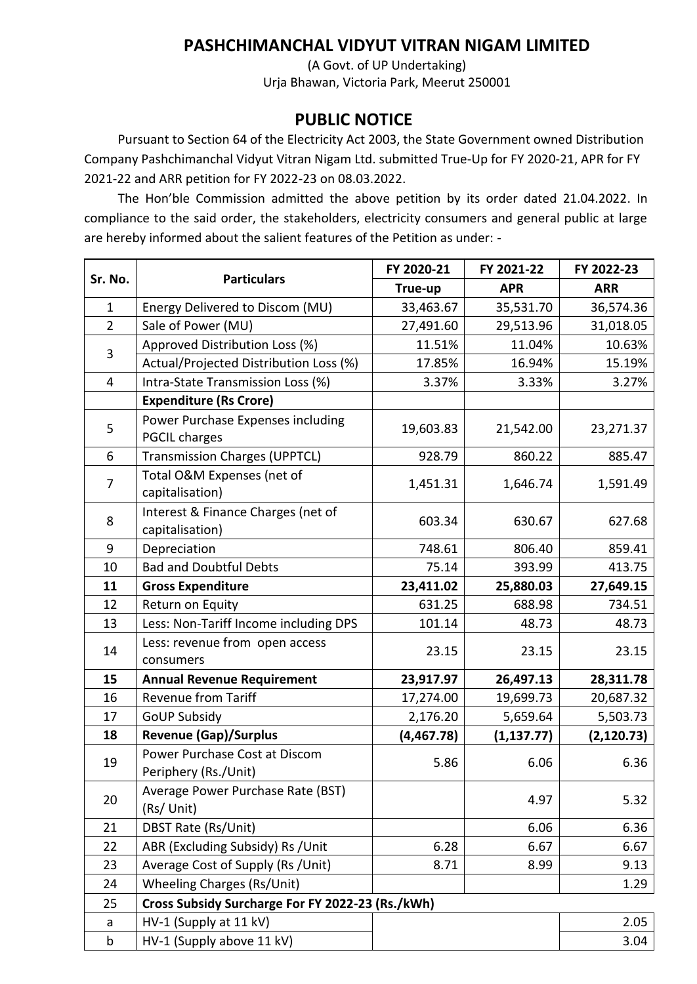## **PASHCHIMANCHAL VIDYUT VITRAN NIGAM LIMITED**

(A Govt. of UP Undertaking) Urja Bhawan, Victoria Park, Meerut 250001

## **PUBLIC NOTICE**

Pursuant to Section 64 of the Electricity Act 2003, the State Government owned Distribution Company Pashchimanchal Vidyut Vitran Nigam Ltd. submitted True-Up for FY 2020-21, APR for FY 2021-22 and ARR petition for FY 2022-23 on 08.03.2022.

The Hon'ble Commission admitted the above petition by its order dated 21.04.2022. In compliance to the said order, the stakeholders, electricity consumers and general public at large are hereby informed about the salient features of the Petition as under: -

| Sr. No.        | <b>Particulars</b>                                        | FY 2020-21 | FY 2021-22  | FY 2022-23  |  |
|----------------|-----------------------------------------------------------|------------|-------------|-------------|--|
|                |                                                           | True-up    | <b>APR</b>  | <b>ARR</b>  |  |
| $\mathbf{1}$   | Energy Delivered to Discom (MU)                           | 33,463.67  | 35,531.70   | 36,574.36   |  |
| $\overline{2}$ | Sale of Power (MU)                                        | 27,491.60  | 29,513.96   | 31,018.05   |  |
| 3              | Approved Distribution Loss (%)                            | 11.51%     | 11.04%      | 10.63%      |  |
|                | Actual/Projected Distribution Loss (%)                    | 17.85%     | 16.94%      | 15.19%      |  |
| 4              | Intra-State Transmission Loss (%)                         | 3.37%      | 3.33%       | 3.27%       |  |
|                | <b>Expenditure (Rs Crore)</b>                             |            |             |             |  |
| 5              | Power Purchase Expenses including<br><b>PGCIL charges</b> | 19,603.83  | 21,542.00   | 23,271.37   |  |
| 6              | <b>Transmission Charges (UPPTCL)</b>                      | 928.79     | 860.22      | 885.47      |  |
| $\overline{7}$ | Total O&M Expenses (net of<br>capitalisation)             | 1,451.31   | 1,646.74    | 1,591.49    |  |
| 8              | Interest & Finance Charges (net of<br>capitalisation)     | 603.34     | 630.67      | 627.68      |  |
| 9              | Depreciation                                              | 748.61     | 806.40      | 859.41      |  |
| 10             | <b>Bad and Doubtful Debts</b>                             | 75.14      | 393.99      | 413.75      |  |
| 11             | <b>Gross Expenditure</b>                                  | 23,411.02  | 25,880.03   | 27,649.15   |  |
| 12             | Return on Equity                                          | 631.25     | 688.98      | 734.51      |  |
| 13             | Less: Non-Tariff Income including DPS                     | 101.14     | 48.73       | 48.73       |  |
| 14             | Less: revenue from open access<br>consumers               | 23.15      | 23.15       | 23.15       |  |
| 15             | <b>Annual Revenue Requirement</b>                         | 23,917.97  | 26,497.13   | 28,311.78   |  |
| 16             | <b>Revenue from Tariff</b>                                | 17,274.00  | 19,699.73   | 20,687.32   |  |
| 17             | <b>GoUP Subsidy</b>                                       | 2,176.20   | 5,659.64    | 5,503.73    |  |
| 18             | <b>Revenue (Gap)/Surplus</b>                              | (4,467.78) | (1, 137.77) | (2, 120.73) |  |
| 19             | Power Purchase Cost at Discom<br>Periphery (Rs./Unit)     | 5.86       | 6.06        | 6.36        |  |
| 20             | Average Power Purchase Rate (BST)<br>(Rs/ Unit)           |            | 4.97        | 5.32        |  |
| 21             | DBST Rate (Rs/Unit)                                       |            | 6.06        | 6.36        |  |
| 22             | ABR (Excluding Subsidy) Rs / Unit                         | 6.28       | 6.67        | 6.67        |  |
| 23             | Average Cost of Supply (Rs / Unit)                        | 8.71       | 8.99        | 9.13        |  |
| 24             | <b>Wheeling Charges (Rs/Unit)</b>                         |            |             | 1.29        |  |
| 25             | Cross Subsidy Surcharge For FY 2022-23 (Rs./kWh)          |            |             |             |  |
| a              | HV-1 (Supply at 11 kV)                                    |            |             | 2.05        |  |
| $\mathsf b$    | HV-1 (Supply above 11 kV)                                 |            |             | 3.04        |  |